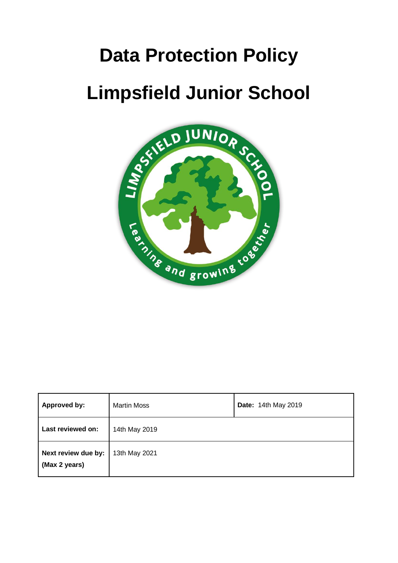# **Data Protection Policy Limpsfield Junior School**



| Approved by:                         | <b>Martin Moss</b> | Date: 14th May 2019 |
|--------------------------------------|--------------------|---------------------|
| Last reviewed on:                    | 14th May 2019      |                     |
| Next review due by:<br>(Max 2 years) | 13th May 2021      |                     |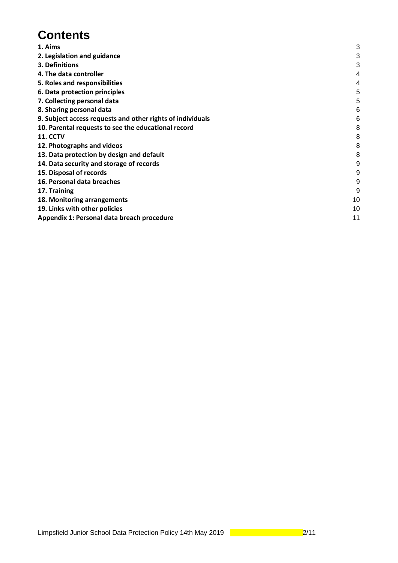## **Contents**

| 3<br>3<br>4<br>4 |
|------------------|
|                  |
|                  |
|                  |
|                  |
| 5                |
| 5                |
| 6                |
| 6                |
| 8                |
| 8                |
| 8                |
| 8                |
| 9                |
| 9                |
| 9                |
| 9                |
| 10               |
| 10               |
| 11               |
|                  |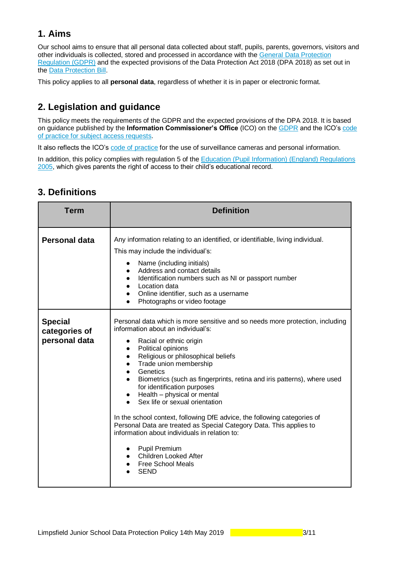## <span id="page-2-0"></span>**1. Aims**

Our school aims to ensure that all personal data collected about staff, pupils, parents, governors, visitors and other individuals is collected, stored and processed in accordance with the [General Data Protection](https://gdpr-info.eu/)  [Regulation \(GDPR\)](https://gdpr-info.eu/) and the expected provisions of the Data Protection Act 2018 (DPA 2018) as set out in the [Data Protection Bill.](https://publications.parliament.uk/pa/bills/cbill/2017-2019/0153/18153.pdf)

<span id="page-2-1"></span>This policy applies to all **personal data**, regardless of whether it is in paper or electronic format.

## **2. Legislation and guidance**

This policy meets the requirements of the GDPR and the expected provisions of the DPA 2018. It is based on guidance published by the **Information Commissioner's Office** (ICO) on the [GDPR](https://ico.org.uk/for-organisations/guide-to-the-general-data-protection-regulation-gdpr/) and the ICO's [code](https://ico.org.uk/media/for-organisations/documents/2014223/subject-access-code-of-practice.pdf)  [of practice for subject access requests.](https://ico.org.uk/media/for-organisations/documents/2014223/subject-access-code-of-practice.pdf)

It also reflects the ICO's [code of practice](https://ico.org.uk/media/for-organisations/documents/1542/cctv-code-of-practice.pdf) for the use of surveillance cameras and personal information.

In addition, this policy complies with regulation 5 of th[e Education \(Pupil Information\) \(England\) Regulations](http://www.legislation.gov.uk/uksi/2005/1437/regulation/5/made)  [2005,](http://www.legislation.gov.uk/uksi/2005/1437/regulation/5/made) which gives parents the right of access to their child's educational record.

| <b>Term</b>                                      | <b>Definition</b>                                                                                                                                                                                                                                                                                                                                                                                                                                                                                                                                                                                                                                                                                                                                                       |
|--------------------------------------------------|-------------------------------------------------------------------------------------------------------------------------------------------------------------------------------------------------------------------------------------------------------------------------------------------------------------------------------------------------------------------------------------------------------------------------------------------------------------------------------------------------------------------------------------------------------------------------------------------------------------------------------------------------------------------------------------------------------------------------------------------------------------------------|
| <b>Personal data</b>                             | Any information relating to an identified, or identifiable, living individual.<br>This may include the individual's:<br>Name (including initials)<br>Address and contact details<br>Identification numbers such as NI or passport number<br>$\bullet$<br>Location data<br>Online identifier, such as a username<br>Photographs or video footage                                                                                                                                                                                                                                                                                                                                                                                                                         |
| <b>Special</b><br>categories of<br>personal data | Personal data which is more sensitive and so needs more protection, including<br>information about an individual's:<br>Racial or ethnic origin<br>Political opinions<br>$\bullet$<br>Religious or philosophical beliefs<br>$\bullet$<br>Trade union membership<br>Genetics<br>$\bullet$<br>Biometrics (such as fingerprints, retina and iris patterns), where used<br>for identification purposes<br>$\bullet$ Health – physical or mental<br>Sex life or sexual orientation<br>In the school context, following DfE advice, the following categories of<br>Personal Data are treated as Special Category Data. This applies to<br>information about individuals in relation to:<br>• Pupil Premium<br>Children Looked After<br><b>Free School Meals</b><br><b>SEND</b> |

## <span id="page-2-2"></span>**3. Definitions**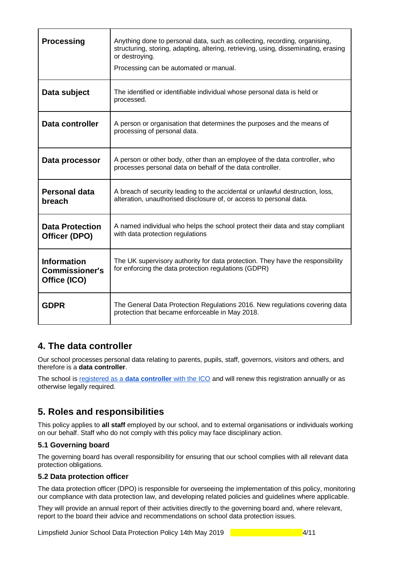| <b>Processing</b>                                           | Anything done to personal data, such as collecting, recording, organising,<br>structuring, storing, adapting, altering, retrieving, using, disseminating, erasing<br>or destroying.<br>Processing can be automated or manual. |
|-------------------------------------------------------------|-------------------------------------------------------------------------------------------------------------------------------------------------------------------------------------------------------------------------------|
| Data subject                                                | The identified or identifiable individual whose personal data is held or<br>processed.                                                                                                                                        |
| Data controller                                             | A person or organisation that determines the purposes and the means of<br>processing of personal data.                                                                                                                        |
| Data processor                                              | A person or other body, other than an employee of the data controller, who<br>processes personal data on behalf of the data controller.                                                                                       |
| Personal data<br>breach                                     | A breach of security leading to the accidental or unlawful destruction, loss,<br>alteration, unauthorised disclosure of, or access to personal data.                                                                          |
| <b>Data Protection</b><br>Officer (DPO)                     | A named individual who helps the school protect their data and stay compliant<br>with data protection regulations                                                                                                             |
| <b>Information</b><br><b>Commissioner's</b><br>Office (ICO) | The UK supervisory authority for data protection. They have the responsibility<br>for enforcing the data protection regulations (GDPR)                                                                                        |
| <b>GDPR</b>                                                 | The General Data Protection Regulations 2016. New regulations covering data<br>protection that became enforceable in May 2018.                                                                                                |

## <span id="page-3-0"></span>**4. The data controller**

Our school processes personal data relating to parents, pupils, staff, governors, visitors and others, and therefore is a **data controller**.

<span id="page-3-1"></span>The school is [registered as a](https://ico.org.uk/about-the-ico/what-we-do/register-of-data-controllers/) **[data controller](https://ico.org.uk/about-the-ico/what-we-do/register-of-data-controllers/)** [with the ICO](https://ico.org.uk/about-the-ico/what-we-do/register-of-data-controllers/) and will renew this registration annually or as otherwise legally required.

## **5. Roles and responsibilities**

This policy applies to **all staff** employed by our school, and to external organisations or individuals working on our behalf. Staff who do not comply with this policy may face disciplinary action.

#### **5.1 Governing board**

The governing board has overall responsibility for ensuring that our school complies with all relevant data protection obligations.

#### **5.2 Data protection officer**

The data protection officer (DPO) is responsible for overseeing the implementation of this policy, monitoring our compliance with data protection law, and developing related policies and guidelines where applicable.

They will provide an annual report of their activities directly to the governing board and, where relevant, report to the board their advice and recommendations on school data protection issues.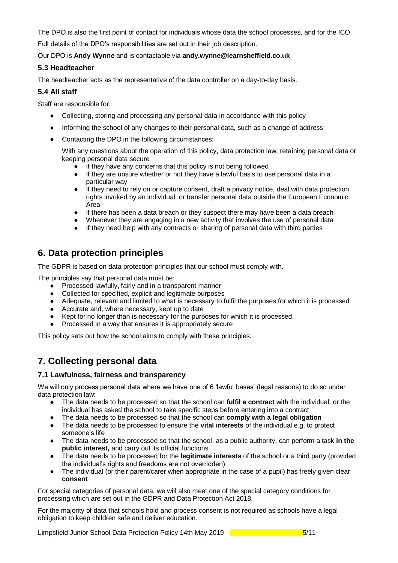The DPO is also the first point of contact for individuals whose data the school processes, and for the ICO.

Full details of the DPO's responsibilities are set out in their job description.

Our DPO is **Andy Wynne** and is contactable via **andy.wynne@learnsheffield.co.uk**

#### **5.3 Headteacher**

The headteacher acts as the representative of the data controller on a day-to-day basis.

#### **5.4 All staff**

Staff are responsible for:

- Collecting, storing and processing any personal data in accordance with this policy
- Informing the school of any changes to their personal data, such as a change of address
- Contacting the DPO in the following circumstances:

With any questions about the operation of this policy, data protection law, retaining personal data or keeping personal data secure

- If they have any concerns that this policy is not being followed
- If they are unsure whether or not they have a lawful basis to use personal data in a particular way
- If they need to rely on or capture consent, draft a privacy notice, deal with data protection rights invoked by an individual, or transfer personal data outside the European Economic Area
- If there has been a data breach or they suspect there may have been a data breach
- Whenever they are engaging in a new activity that involves the use of personal data
- If they need help with any contracts or sharing of personal data with third parties

## <span id="page-4-0"></span>**6. Data protection principles**

The GDPR is based on data protection principles that our school must comply with.

The principles say that personal data must be:

- Processed lawfully, fairly and in a transparent manner
- Collected for specified, explicit and legitimate purposes
- Adequate, relevant and limited to what is necessary to fulfil the purposes for which it is processed
- Accurate and, where necessary, kept up to date
- Kept for no longer than is necessary for the purposes for which it is processed
- Processed in a way that ensures it is appropriately secure

<span id="page-4-1"></span>This policy sets out how the school aims to comply with these principles.

## **7. Collecting personal data**

#### **7.1 Lawfulness, fairness and transparency**

We will only process personal data where we have one of 6 'lawful bases' (legal reasons) to do so under data protection law:

- The data needs to be processed so that the school can **fulfil a contract** with the individual, or the individual has asked the school to take specific steps before entering into a contract
- The data needs to be processed so that the school can **comply with a legal obligation**
- The data needs to be processed to ensure the **vital interests** of the individual e.g. to protect someone's life
- The data needs to be processed so that the school, as a public authority, can perform a task **in the public interest,** and carry out its official functions
- The data needs to be processed for the **legitimate interests** of the school or a third party (provided the individual's rights and freedoms are not overridden)
- The individual (or their parent/carer when appropriate in the case of a pupil) has freely given clear **consent**

For special categories of personal data, we will also meet one of the special category conditions for processing which are set out in the GDPR and Data Protection Act 2018.

For the majority of data that schools hold and process consent is not required as schools have a legal obligation to keep children safe and deliver education.

Limpsfield Junior School Data Protection Policy 14th May 2019 **1998** 1999 1991 1992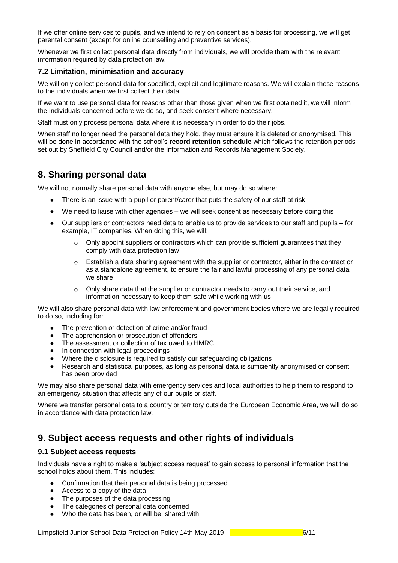If we offer online services to pupils, and we intend to rely on consent as a basis for processing, we will get parental consent (except for online counselling and preventive services).

Whenever we first collect personal data directly from individuals, we will provide them with the relevant information required by data protection law.

#### **7.2 Limitation, minimisation and accuracy**

We will only collect personal data for specified, explicit and legitimate reasons. We will explain these reasons to the individuals when we first collect their data.

If we want to use personal data for reasons other than those given when we first obtained it, we will inform the individuals concerned before we do so, and seek consent where necessary.

Staff must only process personal data where it is necessary in order to do their jobs.

When staff no longer need the personal data they hold, they must ensure it is deleted or anonymised. This will be done in accordance with the school's **record retention schedule** which follows the retention periods set out by Sheffield City Council and/or the Information and Records Management Society.

## <span id="page-5-0"></span>**8. Sharing personal data**

We will not normally share personal data with anyone else, but may do so where:

- There is an issue with a pupil or parent/carer that puts the safety of our staff at risk
- We need to liaise with other agencies we will seek consent as necessary before doing this
- Our suppliers or contractors need data to enable us to provide services to our staff and pupils for example, IT companies. When doing this, we will:
	- $\circ$  Only appoint suppliers or contractors which can provide sufficient guarantees that they comply with data protection law
	- $\circ$  Establish a data sharing agreement with the supplier or contractor, either in the contract or as a standalone agreement, to ensure the fair and lawful processing of any personal data we share
	- $\circ$  Only share data that the supplier or contractor needs to carry out their service, and information necessary to keep them safe while working with us

We will also share personal data with law enforcement and government bodies where we are legally required to do so, including for:

- The prevention or detection of crime and/or fraud
- The apprehension or prosecution of offenders
- The assessment or collection of tax owed to HMRC
- In connection with legal proceedings
- Where the disclosure is required to satisfy our safeguarding obligations
- Research and statistical purposes, as long as personal data is sufficiently anonymised or consent has been provided

We may also share personal data with emergency services and local authorities to help them to respond to an emergency situation that affects any of our pupils or staff.

Where we transfer personal data to a country or territory outside the European Economic Area, we will do so in accordance with data protection law.

## <span id="page-5-1"></span>**9. Subject access requests and other rights of individuals**

#### **9.1 Subject access requests**

Individuals have a right to make a 'subject access request' to gain access to personal information that the school holds about them. This includes:

- Confirmation that their personal data is being processed
- Access to a copy of the data
- The purposes of the data processing
- The categories of personal data concerned
- Who the data has been, or will be, shared with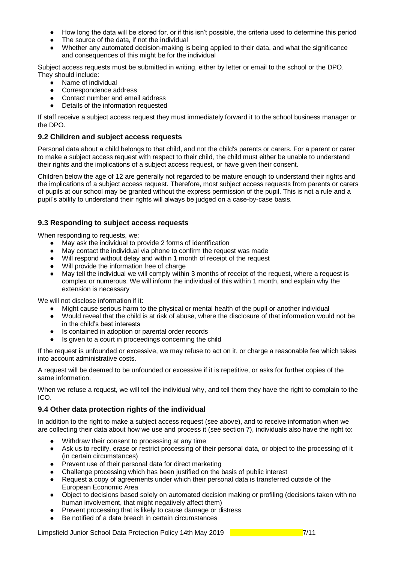- How long the data will be stored for, or if this isn't possible, the criteria used to determine this period
- The source of the data, if not the individual
- Whether any automated decision-making is being applied to their data, and what the significance and consequences of this might be for the individual

Subject access requests must be submitted in writing, either by letter or email to the school or the DPO. They should include:

- Name of individual
- Correspondence address
- Contact number and email address
- Details of the information requested

If staff receive a subject access request they must immediately forward it to the school business manager or the DPO.

#### **9.2 Children and subject access requests**

Personal data about a child belongs to that child, and not the child's parents or carers. For a parent or carer to make a subject access request with respect to their child, the child must either be unable to understand their rights and the implications of a subject access request, or have given their consent.

Children below the age of 12 are generally not regarded to be mature enough to understand their rights and the implications of a subject access request. Therefore, most subject access requests from parents or carers of pupils at our school may be granted without the express permission of the pupil. This is not a rule and a pupil's ability to understand their rights will always be judged on a case-by-case basis.

#### **9.3 Responding to subject access requests**

When responding to requests, we:

- May ask the individual to provide 2 forms of identification
- May contact the individual via phone to confirm the request was made
- Will respond without delay and within 1 month of receipt of the request
- Will provide the information free of charge<br>● May tell the individual we will comply withing
- May tell the individual we will comply within 3 months of receipt of the request, where a request is complex or numerous. We will inform the individual of this within 1 month, and explain why the extension is necessary

We will not disclose information if it:

- Might cause serious harm to the physical or mental health of the pupil or another individual
- Would reveal that the child is at risk of abuse, where the disclosure of that information would not be in the child's best interests
- Is contained in adoption or parental order records
- Is given to a court in proceedings concerning the child

If the request is unfounded or excessive, we may refuse to act on it, or charge a reasonable fee which takes into account administrative costs.

A request will be deemed to be unfounded or excessive if it is repetitive, or asks for further copies of the same information.

When we refuse a request, we will tell the individual why, and tell them they have the right to complain to the ICO.

#### **9.4 Other data protection rights of the individual**

In addition to the right to make a subject access request (see above), and to receive information when we are collecting their data about how we use and process it (see section 7), individuals also have the right to:

- Withdraw their consent to processing at any time
- Ask us to rectify, erase or restrict processing of their personal data, or object to the processing of it (in certain circumstances)
- Prevent use of their personal data for direct marketing
- Challenge processing which has been justified on the basis of public interest
- Request a copy of agreements under which their personal data is transferred outside of the European Economic Area
- Object to decisions based solely on automated decision making or profiling (decisions taken with no human involvement, that might negatively affect them)
- Prevent processing that is likely to cause damage or distress
- Be notified of a data breach in certain circumstances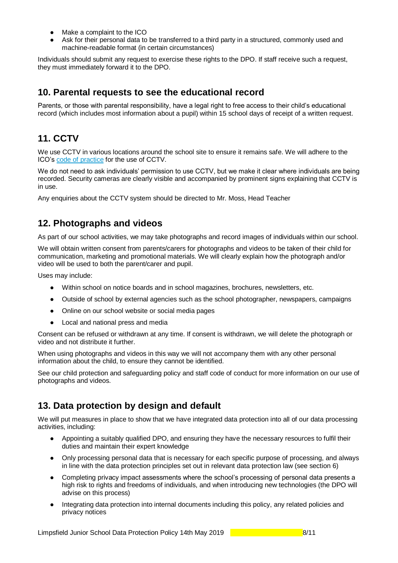- Make a complaint to the ICO
- Ask for their personal data to be transferred to a third party in a structured, commonly used and machine-readable format (in certain circumstances)

Individuals should submit any request to exercise these rights to the DPO. If staff receive such a request, they must immediately forward it to the DPO.

## <span id="page-7-0"></span>**10. Parental requests to see the educational record**

<span id="page-7-1"></span>Parents, or those with parental responsibility, have a legal right to free access to their child's educational record (which includes most information about a pupil) within 15 school days of receipt of a written request.

## **11. CCTV**

We use CCTV in various locations around the school site to ensure it remains safe. We will adhere to the ICO's [code of practice](https://ico.org.uk/media/for-organisations/documents/1542/cctv-code-of-practice.pdf) for the use of CCTV.

We do not need to ask individuals' permission to use CCTV, but we make it clear where individuals are being recorded. Security cameras are clearly visible and accompanied by prominent signs explaining that CCTV is in use.

Any enquiries about the CCTV system should be directed to Mr. Moss, Head Teacher

## <span id="page-7-2"></span>**12. Photographs and videos**

As part of our school activities, we may take photographs and record images of individuals within our school.

We will obtain written consent from parents/carers for photographs and videos to be taken of their child for communication, marketing and promotional materials. We will clearly explain how the photograph and/or video will be used to both the parent/carer and pupil.

Uses may include:

- Within school on notice boards and in school magazines, brochures, newsletters, etc.
- Outside of school by external agencies such as the school photographer, newspapers, campaigns
- Online on our school website or social media pages
- Local and national press and media

Consent can be refused or withdrawn at any time. If consent is withdrawn, we will delete the photograph or video and not distribute it further.

When using photographs and videos in this way we will not accompany them with any other personal information about the child, to ensure they cannot be identified.

See our child protection and safeguarding policy and staff code of conduct for more information on our use of photographs and videos.

## <span id="page-7-3"></span>**13. Data protection by design and default**

We will put measures in place to show that we have integrated data protection into all of our data processing activities, including:

- Appointing a suitably qualified DPO, and ensuring they have the necessary resources to fulfil their duties and maintain their expert knowledge
- Only processing personal data that is necessary for each specific purpose of processing, and always in line with the data protection principles set out in relevant data protection law (see section 6)
- Completing privacy impact assessments where the school's processing of personal data presents a high risk to rights and freedoms of individuals, and when introducing new technologies (the DPO will advise on this process)
- Integrating data protection into internal documents including this policy, any related policies and privacy notices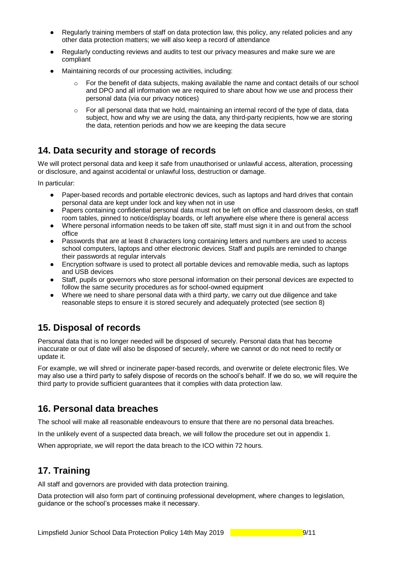- Regularly training members of staff on data protection law, this policy, any related policies and any other data protection matters; we will also keep a record of attendance
- Regularly conducting reviews and audits to test our privacy measures and make sure we are compliant
- Maintaining records of our processing activities, including:
	- $\circ$  For the benefit of data subjects, making available the name and contact details of our school and DPO and all information we are required to share about how we use and process their personal data (via our privacy notices)
	- $\circ$  For all personal data that we hold, maintaining an internal record of the type of data, data subject, how and why we are using the data, any third-party recipients, how we are storing the data, retention periods and how we are keeping the data secure

## <span id="page-8-0"></span>**14. Data security and storage of records**

We will protect personal data and keep it safe from unauthorised or unlawful access, alteration, processing or disclosure, and against accidental or unlawful loss, destruction or damage.

In particular:

- Paper-based records and portable electronic devices, such as laptops and hard drives that contain personal data are kept under lock and key when not in use
- Papers containing confidential personal data must not be left on office and classroom desks, on staff room tables, pinned to notice/display boards, or left anywhere else where there is general access
- Where personal information needs to be taken off site, staff must sign it in and out from the school office
- Passwords that are at least 8 characters long containing letters and numbers are used to access school computers, laptops and other electronic devices. Staff and pupils are reminded to change their passwords at regular intervals
- Encryption software is used to protect all portable devices and removable media, such as laptops and USB devices
- Staff, pupils or governors who store personal information on their personal devices are expected to follow the same security procedures as for school-owned equipment
- Where we need to share personal data with a third party, we carry out due diligence and take reasonable steps to ensure it is stored securely and adequately protected (see section 8)

## <span id="page-8-1"></span>**15. Disposal of records**

Personal data that is no longer needed will be disposed of securely. Personal data that has become inaccurate or out of date will also be disposed of securely, where we cannot or do not need to rectify or update it.

For example, we will shred or incinerate paper-based records, and overwrite or delete electronic files. We may also use a third party to safely dispose of records on the school's behalf. If we do so, we will require the third party to provide sufficient guarantees that it complies with data protection law.

## <span id="page-8-2"></span>**16. Personal data breaches**

The school will make all reasonable endeavours to ensure that there are no personal data breaches.

In the unlikely event of a suspected data breach, we will follow the procedure set out in [appendix 1.](#page-10-0)

<span id="page-8-3"></span>When appropriate, we will report the data breach to the ICO within 72 hours.

## **17. Training**

All staff and governors are provided with data protection training.

Data protection will also form part of continuing professional development, where changes to legislation, guidance or the school's processes make it necessary.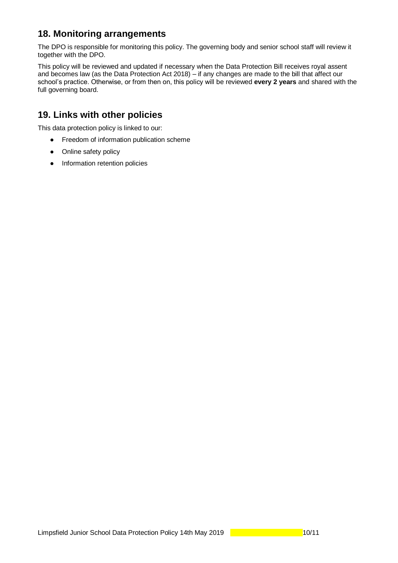## <span id="page-9-0"></span>**18. Monitoring arrangements**

The DPO is responsible for monitoring this policy. The governing body and senior school staff will review it together with the DPO.

This policy will be reviewed and updated if necessary when the Data Protection Bill receives royal assent and becomes law (as the Data Protection Act 2018) – if any changes are made to the bill that affect our school's practice. Otherwise, or from then on, this policy will be reviewed **every 2 years** and shared with the full governing board.

## <span id="page-9-1"></span>**19. Links with other policies**

This data protection policy is linked to our:

- Freedom of information publication scheme
- Online safety policy
- Information retention policies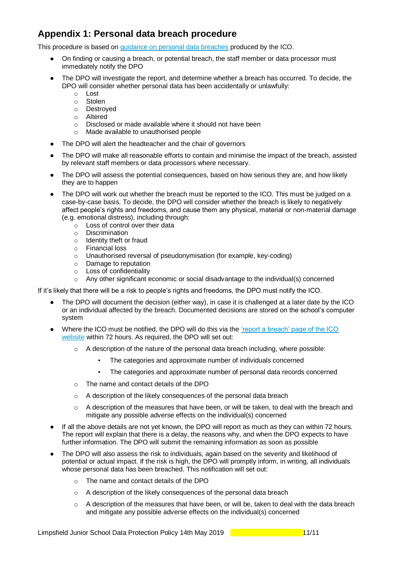## <span id="page-10-0"></span>**Appendix 1: Personal data breach procedure**

This procedure is based on [guidance on personal data breaches](https://ico.org.uk/for-organisations/guide-to-the-general-data-protection-regulation-gdpr/personal-data-breaches/) produced by the ICO.

- On finding or causing a breach, or potential breach, the staff member or data processor must immediately notify the DPO
- The DPO will investigate the report, and determine whether a breach has occurred. To decide, the DPO will consider whether personal data has been accidentally or unlawfully:
	-
	- o Lost Stolen
	- o Destroyed
	- o Altered
	- o Disclosed or made available where it should not have been
	- o Made available to unauthorised people
- The DPO will alert the headteacher and the chair of governors
- The DPO will make all reasonable efforts to contain and minimise the impact of the breach, assisted by relevant staff members or data processors where necessary.
- The DPO will assess the potential consequences, based on how serious they are, and how likely they are to happen
- The DPO will work out whether the breach must be reported to the ICO. This must be judged on a case-by-case basis. To decide, the DPO will consider whether the breach is likely to negatively affect people's rights and freedoms, and cause them any physical, material or non-material damage (e.g. emotional distress), including through:
	- o Loss of control over their data
	- o Discrimination
	- o Identity theft or fraud
	- o Financial loss
	- o Unauthorised reversal of pseudonymisation (for example, key-coding)
	- o Damage to reputation
	- o Loss of confidentiality
	- o Any other significant economic or social disadvantage to the individual(s) concerned

If it's likely that there will be a risk to people's rights and freedoms, the DPO must notify the ICO.

- The DPO will document the decision (either way), in case it is challenged at a later date by the ICO or an individual affected by the breach. Documented decisions are stored on the school's computer system
- Where the ICO must be notified, the DPO will do this via the 'report a breach' page of the ICO [website](https://ico.org.uk/for-organisations/report-a-breach/) within 72 hours. As required, the DPO will set out:
	- $\circ$  A description of the nature of the personal data breach including, where possible:
		- The categories and approximate number of individuals concerned
		- The categories and approximate number of personal data records concerned
	- o The name and contact details of the DPO
	- o A description of the likely consequences of the personal data breach
	- $\circ$  A description of the measures that have been, or will be taken, to deal with the breach and mitigate any possible adverse effects on the individual(s) concerned
- If all the above details are not yet known, the DPO will report as much as they can within 72 hours. The report will explain that there is a delay, the reasons why, and when the DPO expects to have further information. The DPO will submit the remaining information as soon as possible
- The DPO will also assess the risk to individuals, again based on the severity and likelihood of potential or actual impact. If the risk is high, the DPO will promptly inform, in writing, all individuals whose personal data has been breached. This notification will set out:
	- o The name and contact details of the DPO
	- o A description of the likely consequences of the personal data breach
	- $\circ$  A description of the measures that have been, or will be, taken to deal with the data breach and mitigate any possible adverse effects on the individual(s) concerned